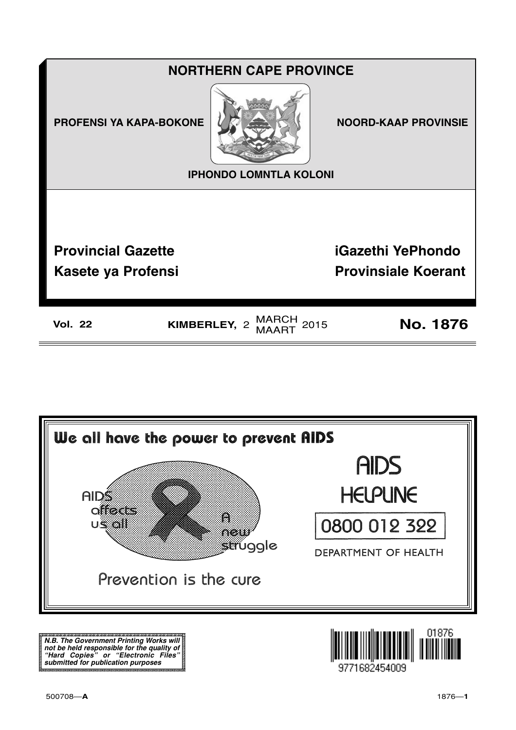



**N.B. The Government Printing Works will not be held responsible for the quality of "Hard Copies" or "Electronic Files" submitted for publication purposes**

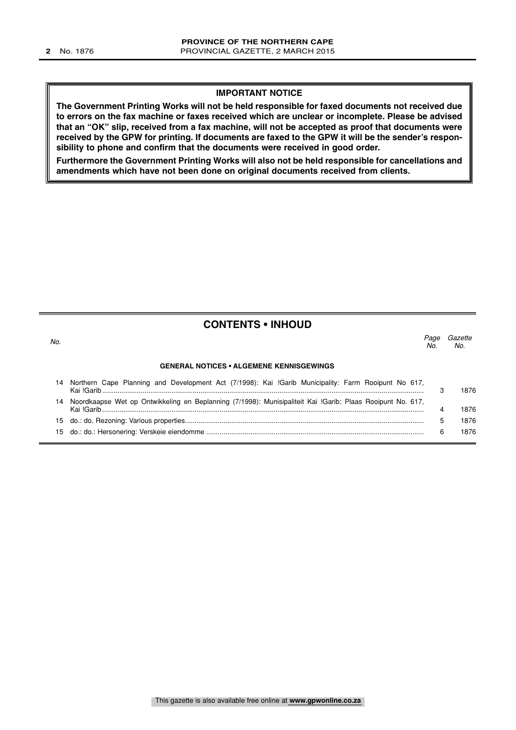#### **IMPORTANT NOTICE**

**The Government Printing Works will not be held responsible for faxed documents not received due to errors on the fax machine or faxes received which are unclear or incomplete. Please be advised that an "OK" slip, received from a fax machine, will not be accepted as proof that documents were received by the GPW for printing. If documents are faxed to the GPW it will be the sender's responsibility to phone and confirm that the documents were received in good order.**

**Furthermore the Government Printing Works will also not be held responsible for cancellations and amendments which have not been done on original documents received from clients.**

#### **CONTENTS • INHOUD**

| No. |                                                                                                            | Page<br>No. | Gazette<br>No. |  |
|-----|------------------------------------------------------------------------------------------------------------|-------------|----------------|--|
|     | <b>GENERAL NOTICES • ALGEMENE KENNISGEWINGS</b>                                                            |             |                |  |
|     | Northern Cape Planning and Development Act (7/1998): Kai !Garib Municipality: Farm Rooipunt No 617,        |             | 1876           |  |
|     | Noordkaapse Wet op Ontwikkeling en Beplanning (7/1998): Munisipaliteit Kai !Garib: Plaas Rooipunt No. 617, |             | 1876           |  |
|     |                                                                                                            | 5           | 1876           |  |
| 15. |                                                                                                            | 6           | 1876           |  |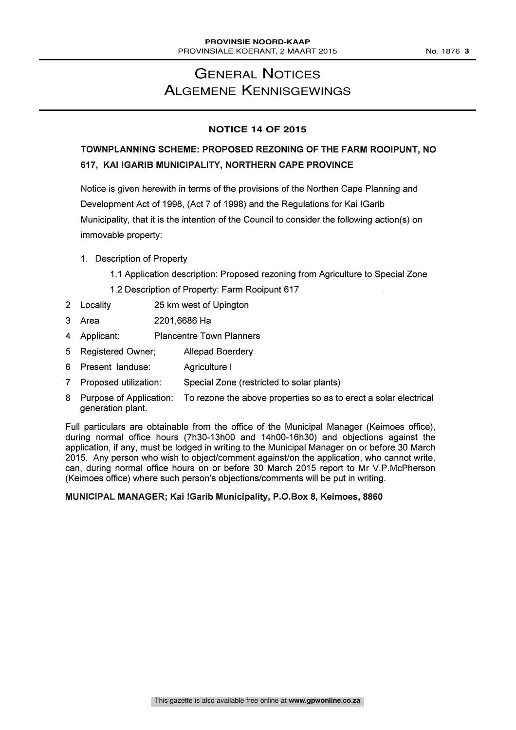## GENERAL NOTICES ALGEMENE KENNISGEWINGS

#### **NOTICE 14 OF 2015**

### TOWNPLANNING SCHEME: PROPOSED REZONING OF THE FARM ROOIPUNT, NO 617, KAI !GARIB MUNICIPALITY, NORTHERN CAPE PROVINCE

Notice is given herewith in terms of the provisions of the Northen Cape Planning and Development Act of 1998, (Act 7 of 1998) and the Regulations for Kai !Garib Municipality, that it is the intention of the Council to consider the following action(s) on immovable property:

- 1. Description of Property
	- 1.1 Application description: Proposed rezoning from Agriculture to Special Zone
	- 1.2 Description of Property: Farm Rooipunt 617
- 2 Locality 25 km west of Upington
- 3 Area 2201,6686 Ha
- 4 Applicant: Plancentre Town Planners
- 5 Registered Owner; Allepad Boerdery
- 6 Present landuse: Agriculture I
- 7 Proposed utilization: Special Zone (restricted to solar plants)
- 8 Purpose of Application: To rezone the above properties so as to erect a solar electrical generation plant.

Full particulars are obtainable from the office of the Municipal Manager (Keimoes office), during normal office hours (7h30-13h00 and 14h00-16h30) and objections against the application, if any, must be lodged in writing to the Municipal Manager on or before 30 March 2015. Any person who wish to object/comment against/on the application, who cannot write, can, during normal office hours on or before 30 March 2015 report to Mr V.P.McPherson (Keimoes office) where such person's objections/comments will be put in writing.

#### MUNICIPAL MANAGER; Kai !Garib Municipality, P.O.Box 8, Keimoes, 8860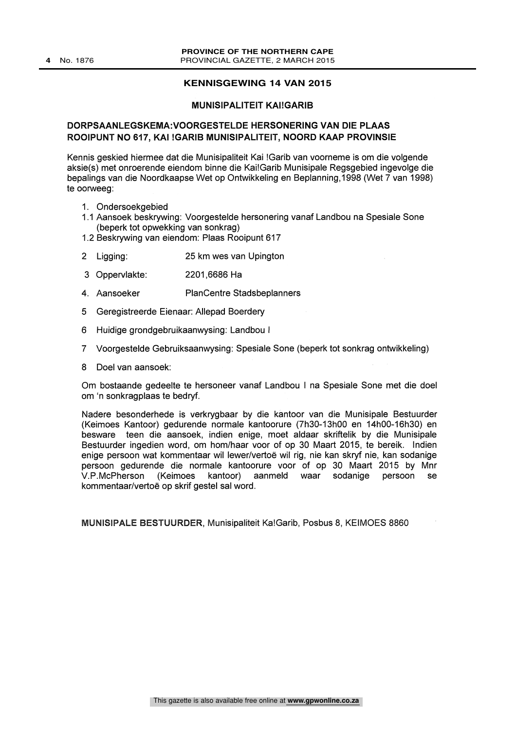#### **KENNISGEWING 14 VAN 2015**

#### MUNISIPALITEIT KAI!GARIB

#### DORPSAANLEGSKEMA:VOORGESTELDE HERSONERING VAN DIE PLAAS ROOIPUNT NO 617, KAI !GARIB MUNISIPALITEIT, NOORD KAAP PROVINSIE

Kennis geskied hiermee dat die Munisipaliteit Kai !Garib van voorneme is om die volgende aksie(s) met onroerende eiendom binne die Kai!Garib Munisipale Regsgebied ingevolge die bepalings van die Noordkaapse Wet op Ontwikkeling en Beplanning,1998 (Wet 7 van 1998) te oorweeg:

- 1. Ondersoekgebied
- 1.1 Aansoek beskrywing: Voorgestelde hersonering vanaf Landbou na Spesiale Sone (beperk tot opwekking van sonkrag)
- 1.2 Beskrywing van eiendom: Plaas Rooipunt 617
- 2 Ligging: 25 km wes van Upington
- 3 Oppervlakte: 2201,6686 Ha
- 4. Aansoeker Plan Centre Stadsbeplanners
- 5 Geregistreerde Eienaar: Allepad Boerdery
- 6 Huidige grondgebruikaanwysing: Landbou I
- 7 Voorgestelde Gebruiksaanwysing: Spesiale Sone (beperk tot sonkrag ontwikkeling)
- 8 Doel van aansoek:

Om bostaande gedeelte te hersoneer vanaf Landbou I na Spesiale Sone met die doel om `n sonkragplaas te bedryf.

Nadere besonderhede is verkrygbaar by die kantoor van die Munisipale Bestuurder (Keimoes Kantoor) gedurende normale kantoorure (7h30-13h00 en 14h00-16h30) en besware teen die aansoek, indien enige, moet aldaar skriftelik by die Munisipale Bestuurder ingedien word, om hom/haar voor of op 30 Maart 2015, te bereik. Indien enige persoon wat kommentaar wil lewer/vertoe wil rig, nie kan skryf nie, kan sodanige persoon gedurende die normale kantoorure voor of op 30 Maart 2015 by Mnr V.P.McPherson (Keimoes kantoor) aanmeld waar sodanige persoon se kommentaar/vertoe op skrif gestel sal word.

MUNISIPALE BESTUURDER, Munisipaliteit Ka!Garib, Posbus 8, KEIMOES 8860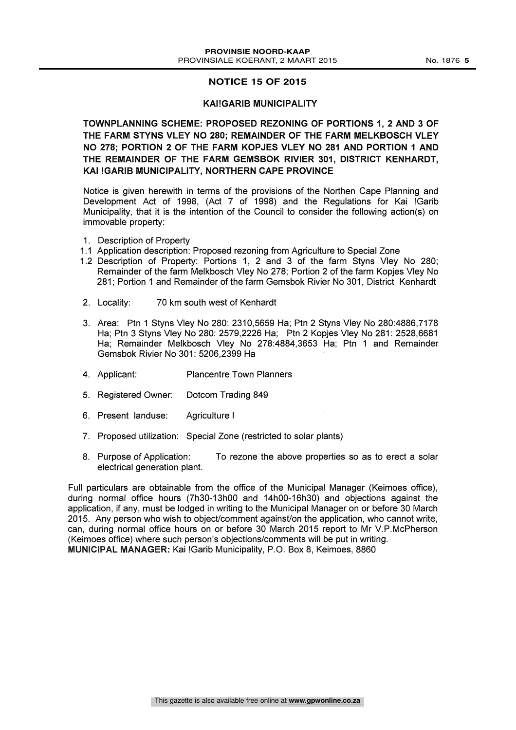#### **NOTICE 15 OF 2015**

#### KAI!GARIB MUNICIPALITY

TOWNPLANNING SCHEME: PROPOSED REZONING OF PORTIONS 1, 2 AND 3 OF THE FARM STYNS VLEY NO 280; REMAINDER OF THE FARM MELKBOSCH VLEY NO 278; PORTION 2 OF THE FARM KOPJES VLEY NO 281 AND PORTION 1 AND THE REMAINDER OF THE FARM GEMSBOK RIVIER 301, DISTRICT KENHARDT, KAI !GARIB MUNICIPALITY, NORTHERN CAPE PROVINCE

Notice is given herewith in terms of the provisions of the Northen Cape Planning and Development Act of 1998, (Act 7 of 1998) and the Regulations for Kai !Garib Municipality, that it is the intention of the Council to consider the following action(s) on immovable property:

- 1. Description of Property
- 1.1 Application description: Proposed rezoning from Agriculture to Special Zone
- 1.2 Description of Property: Portions 1, 2 and 3 of the farm Styns Vley No 280; Remainder of the farm Melkbosch Vley No 278; Portion 2 of the farm Kopjes Vley No 281; Portion 1 and Remainder of the farm Gemsbok Rivier No 301, District Kenhardt
- 2. Locality: 70 km south west of Kenhardt
- 3. Area: Ptn 1 Styns Vley No 280: 2310,5659 Ha; Ptn 2 Styns Vley No 280:4886,7178 Ha; Ptn 3 Styns Vley No 280: 2579,2226 Ha; Ptn 2 Kopjes Vley No 281: 2528,6681 Ha; Remainder Melkbosch Vley No 278:4884,3653 Ha; Ptn <sup>1</sup> and Remainder Gemsbok Rivier No 301: 5206,2399 Ha
- 4. Applicant: Plancentre Town Planners
- 5. Registered Owner: Dotcom Trading 849
- 6. Present landuse: Agriculture I
- 7. Proposed utilization: Special Zone (restricted to solar plants)
- 8. Purpose of Application: To rezone the above properties so as to erect a solar electrical generation plant.

Full particulars are obtainable from the office of the Municipal Manager (Keimoes office), during normal office hours (7h30-13h00 and 14h00-16h30) and objections against the application, if any, must be lodged in writing to the Municipal Manager on or before 30 March 2015. Any person who wish to object/comment against/on the application, who cannot write, can, during normal office hours on or before 30 March 2015 report to Mr V.P.McPherson (Keimoes office) where such person's objections/comments will be put in writing. MUNICIPAL MANAGER: Kai !Garib Municipality, P.O. Box 8, Keimoes, 8860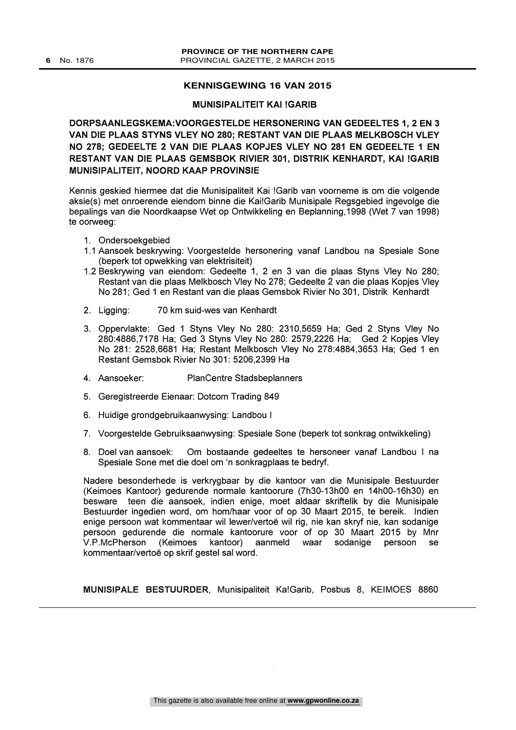#### **KENNISGEWING 16 VAN 2015**

#### MUNISIPALITEIT KAI !GARIB

DORPSAANLEGSKEMA:VOORGESTELDE HERSONERING VAN GEDEELTES 1, 2 EN 3 VAN DIE PLAAS STYNS VLEY NO 280; RESTANT VAN DIE PLAAS MELKBOSCH VLEY NO 278; GEDEELTE 2 VAN DIE PLAAS KOPJES VLEY NO 281 EN GEDEELTE 1 EN RESTANT VAN DIE PLAAS GEMSBOK RIVIER 301, DISTRIK KENHARDT, KAI !GARIB MUNISIPALITEIT, NOORD KAAP PROVINSIE

Kennis geskied hiermee dat die Munisipaliteit Kai !Garib van voorneme is om die volgende aksie(s) met onroerende eiendom binne die Kai!Garib Munisipale Regsgebied ingevolge die bepalings van die Noordkaapse Wet op Ontwikkeling en Beplanning,1998 (Wet 7 van 1998) te oorweeg:

- 1. Ondersoekgebied
- 1.1 Aansoek beskrywing: Voorgestelde hersonering vanaf Landbou na Spesiale Sone (beperk tot opwekking van elektrisiteit)
- 1.2 Beskrywing van eiendom: Gedeelte 1, 2 en 3 van die plaas Styns Vley No 280; Restant van die plaas Melkbosch Vley No 278; Gedeelte 2 van die plaas Kopjes Vley No 281; Ged 1 en Restant van die plaas Gemsbok Rivier No 301, Distrik Kenhardt
- 2. Ligging: 70 km suid-wes van Kenhardt
- 3. Oppervlakte: Ged 1 Styns Vley No 280: 2310,5659 Ha; Ged 2 Styns Vley No 280:4886,7178 Ha; Ged 3 Styns Vley No 280: 2579,2226 Ha; Ged 2 Kopjes Vley No 281: 2528,6681 Ha; Restant Melkbosch Vley No 278:4884,3653 Ha; Ged 1 en Restant Gemsbok Rivier No 301: 5206,2399 Ha
- 4. Aansoeker: PlanCentre Stadsbeplanners
- 5. Geregistreerde Eienaar: Dotcom Trading 849
- 6. Huidige grondgebruikaanwysing: Landbou I
- 7. Voorgestelde Gebruiksaanwysing: Spesiale Sone (beperk tot sonkrag ontwikkeling)
- 8. Doel van aansoek: Om bostaande gedeeltes te hersoneer vanaf Landbou <sup>I</sup> na Spesiale Sone met die doel om 'n sonkragplaas te bedryf.

Nadere besonderhede is verkrygbaar by die kantoor van die Munisipale Bestuurder (Keimoes Kantoor) gedurende normale kantoorure (7h30-13h00 en 14h00-16h30) en besware teen die aansoek, indien enige, moet aldaar skriftelik by die Munisipale Bestuurder ingedien word, om hom/haar voor of op 30 Maart 2015, te bereik. Indien enige persoon wat kommentaar wil lewer/vertoe wil rig, nie kan skryf nie, kan sodanige persoon gedurende die normale kantoorure voor of op 30 Maart 2015 by Mnr V.P.McPherson (Keimoes kantoor) aanmeld waar sodanige persoon se kommentaar/vertoe op skrif gestel sal word.

MUNISIPALE BESTUURDER, Munisipaliteit Ka!Garib, Posbus 8, KEIMOES 8860